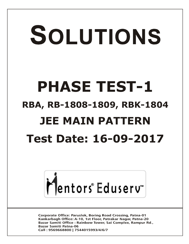# SOLUTIONS **PHASE TEST-1 RBA, RB-1808-1809, RBK-1804 JEE MAIN PATTERN Test Date: 16-09-2017**



**Corporate Office: Paruslok, Boring Road Crossing, Patna-01** Kankarbagh Office: A-10, 1st Floor, Patrakar Nagar, Patna-20 Bazar Samiti Office: Rainbow Tower, Sai Complex, Rampur Rd., **Bazar Samiti Patna-06** Call: 9569668800 | 7544015993/4/6/7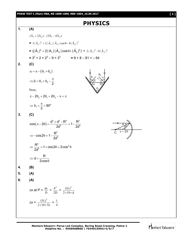**PHASE TEST-I (Main) RBA, RB-1808-1809, RBK-1804\_16.09.2017 [ 1 ]**

# **PHYSICS**



Mentors Eduserv<sup>®</sup>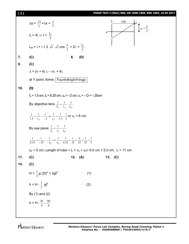# **[ 2 ] PHASE TEST-I (Main) RBA, RB-1808-1809, RBK-1804\_16.09.2017**

$$
\Delta \phi = \frac{2\pi}{\lambda} x \Delta x = \frac{\pi}{2}
$$
\n
$$
I_0 = 4I \Rightarrow I = \frac{I_0}{4}
$$
\n
$$
I_{net} = I + I + 2 \sqrt{I} \sqrt{I} \cos \frac{\pi}{2} = 2I = \frac{I_0}{2}
$$
\n7. (C)\n8. (D)\n9. (C)\n
$$
\Delta = (n + 4)\lambda - n\lambda = 4\lambda
$$
\nat Y point, forms [FourithBrightFringe]\n10. (D)\n
$$
f_0 = 1.5 \text{ cm}, f_0 = 6.25 \text{ cm}, u_0 = -2 \text{ cm}, v_0 = -D = -25 \text{ cm}
$$
\nBy objective lens  $\frac{1}{f_0} = \frac{1}{v_0} - \frac{1}{u_0}$ \n
$$
\frac{1}{1.5} = \frac{1}{v_0} - \frac{1}{-2} \Rightarrow \frac{1}{v_0} = \frac{1}{1.5} - \frac{1}{2} \text{ or } v_0 = 6 \text{ cm}
$$
\nBy eye piece  $\frac{1}{f_c} = \frac{1}{v_c} - \frac{1}{u_c}$ \n
$$
\frac{1}{6.25} = \frac{1}{-25} - \frac{1}{-u_0} \Rightarrow \frac{1}{u_0} = \frac{1}{6.25} + \frac{1}{25} = \frac{4}{25} + \frac{1}{25} = \frac{1}{5}
$$
\n
$$
u_0 = 5 \text{ cm}, \text{ Length of tube} = L = v_0 + u_0 = 6.0 \text{ cm} + 5.0 \text{ cm}, L = 11 \text{ cm}
$$
\n11. (C)\n
$$
H = \frac{1}{2} g (2I)^2 = 2gl^2 \qquad (1)
$$
\n
$$
h = H - \frac{1}{2} g^2
$$
\nBy (1) and (2)\n
$$
h = H - \frac{H}{4} = \frac{3H}{4}
$$

Mentors<sup>e</sup> Eduserv<sup>-</sup>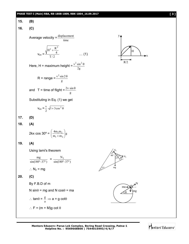### **PHASE TEST-I (Main) RBA, RB-1808-1809, RBK-1804\_16.09.2017 [ 3 ]**

15. **(B)**  
\n16. **(C)**  
\nAverage velocity = 
$$
\frac{displacement}{time}
$$
  
\n $v_{av} = \frac{\sqrt{H^2 + \frac{R^2}{4}}}{T/2}$  ... (1)  
\nHere, H = maximum height =  $\frac{v^2 \sin^2 \theta}{2g}$   
\n $R = range = \frac{v^2 \sin^2 \theta}{g}$   
\nand T = time of flight =  $\frac{2v \sin \theta}{g}$   
\nSubstituting in Eq. (1) we get  
\n $v_{av} = \frac{v}{2} \sqrt{1 + 3\cos^2 \theta}$   
\n17. **(D)**  
\n18. **(A)**  
\n2kx cos 30° =  $\left(\frac{4m_1m_2}{m_1 + m_2}\right)g$   
\n19. **(A)**  
\nUsing lamin's theorem  
\n $\frac{mg}{\sin(180^\circ - 37^\circ)} = \frac{N_2}{\sin(180^\circ - 37^\circ)}$   
\n $\therefore N_2 = mg$   
\n20. **(C)**  
\nBy F.B.D of m  
\nN sin θ = mg and N cos θ = ma  
\n $\therefore tan θ = \frac{g}{a} \Rightarrow a = g cot θ$   
\n $\therefore F = (m + M)g cot θ$ 

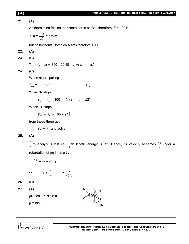| [4] | PHASE TEST-I (Main) RBA, RB-1808-1809, RBK-1804_16.09.2017                                                                         |
|-----|------------------------------------------------------------------------------------------------------------------------------------|
| 21. | (A)                                                                                                                                |
|     | As there is no friction, horizontal force on B is therefore $F = 100$ N                                                            |
|     | $\therefore$ a = $\frac{100}{20}$ = 5m/s <sup>2</sup>                                                                              |
|     | but no horizontal force on A acts therefore $T = 0$                                                                                |
| 22. | (A)                                                                                                                                |
| 23. | (C)                                                                                                                                |
|     | T = m(g - a) $\Rightarrow$ 360 = 60(10 - a) $\Rightarrow$ a = 4m/s <sup>2</sup>                                                    |
| 24. | (C)                                                                                                                                |
|     | When all are pulling                                                                                                               |
|     | $\vec{F}_{net}$ = 100 × 3 $\hat{i}$<br>$\ldots$ (1)                                                                                |
|     | When 'A' stops                                                                                                                     |
|     | $\vec{F}_{net} - \vec{F}_{A} = 100 \times 1(-\hat{i})$ (2)                                                                         |
|     | When 'B' stops                                                                                                                     |
|     | $\vec{F}_{net} - \vec{F}_{B} = 100 \times 24 \hat{j}$                                                                              |
|     | from these three get                                                                                                               |
|     | $\vec{F}_A$ + $\vec{F}_B$ and solve                                                                                                |
| 25. | (A)                                                                                                                                |
|     | $\frac{3}{4}$ th energy is lost i.e., $\frac{1}{4}$ th kinetic energy is left. Hence, its velocity becomes $\frac{v_0}{2}$ under a |
|     | retardation of $\mu$ g in time $t_0$ .                                                                                             |
|     | $\therefore \frac{v_0}{2} = v_0 - \mu g t_0$                                                                                       |
|     | $\mu g t_0 = \frac{v_0}{2}$ or $\mu = \frac{v_0}{2gt_0}$<br>or                                                                     |
| 26. | (D)                                                                                                                                |
| 27. | (A)<br>$\mu$ N<br>N                                                                                                                |
|     | $\mu$ N cos $\theta$ = N sin $\theta$                                                                                              |
|     | $\mu$ = tan $\theta$<br>mg                                                                                                         |
|     |                                                                                                                                    |
|     |                                                                                                                                    |

Mentors Eduserv<sup>-</sup>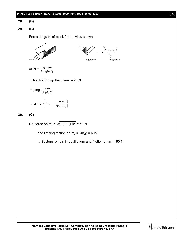#### **28. (B)**

## **29. (B)**

Force diagram of block for the view shown



$$
= \mu mg \frac{\cos \alpha}{\sin(\theta/2)}
$$
  
∴ a = g 
$$
\begin{cases} \sin \alpha - \mu \frac{\cos \alpha}{\sin(\theta/2)} \end{cases}
$$

**30. (C)**

Net force on 
$$
m_3 = \sqrt{(30)^2 + (40)^2} = 50
$$
 N

and limiting friction on  $m_3 = \mu m_3 g = 60N$ 

J  $\left\{ \right.$  $\left| \right|$ 

 $\therefore$  System remain in equilibrium and friction on m<sub>3</sub> = 50 N

N N  $180^\circ - \theta$ 

mg cos  $\alpha$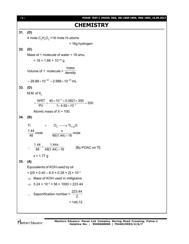| [6]     | PHASE IESI-I (MAIN)                                                                         |
|---------|---------------------------------------------------------------------------------------------|
|         | <b>CHEMISTRY</b>                                                                            |
| 31.     | (D)                                                                                         |
|         | 4 mole $C_2H_4O_2$ =16 mole H-atoms                                                         |
|         | = 16g hydrogen                                                                              |
| 32. (D) |                                                                                             |
|         | Mass of 1 molecule of water = 18 amu                                                        |
|         | $= 18 \times 1.66 \times 10^{-24}$ g                                                        |
|         | Volume of 1 molecule = $\frac{mass}{density}$                                               |
|         | $= 29.88 \times 10^{-24} = 2.988 \times 10^{-23}$ mL                                        |
| 33. (D) |                                                                                             |
|         | M.M. of $X_2$                                                                               |
|         | $=\frac{WRT}{PV}=\frac{40\times10^{-3}\times0.0821\times300}{1\times4.92\times10^{-3}}=200$ |
|         | Atomic mass of $X = 100$ .                                                                  |
| 34.     | (B)                                                                                         |
|         | Τi<br>$+$ $O_2 \longrightarrow \text{Ti}_{1.44}\text{O}$                                    |
|         | $\frac{1.44}{48}$ mole $\frac{x}{48(1.44)+16}$ mole                                         |
|         |                                                                                             |
|         | $\therefore \quad \frac{1.44}{48} = \frac{1.44x}{48(1.44) + 16}$<br>[By POAC on Ti]         |
|         | $x = 1.77 g$                                                                                |
| 35.     | (A)                                                                                         |
|         | Equivalents of KOH used by oil                                                              |
|         | $=[25 \times 0.40 - 8.5 \times 0.28 \times 2] \times 10^{-3}$                               |
|         | $\Rightarrow$ Mass of KOH used in milligrams                                                |
|         | $\Rightarrow$ 5.24 × 10 <sup>-3</sup> × 56 × 1000 = 223.44                                  |
|         | 223.44                                                                                      |
|         | Saponification number =                                                                     |
|         | $= 146.72$                                                                                  |
|         |                                                                                             |

Mentors<sup>e</sup> Eduserv<sup>-</sup>

[ **6** ] **PHASE TEST-I (MAIN) RBA, RB-1808-1809, RBK-1804\_16.09.2017**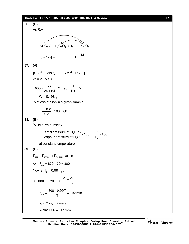#### **PHASE TEST-I (MAIN) RBA, RB-1808-1809, RBK-1804\_16.09.2017** [ **7** ]



Mentors Eduserv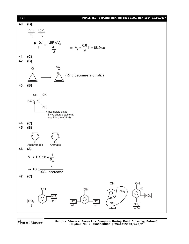

Mentors<sup>®</sup> Eduserv<sup>®</sup>

**Mentors Eduserv: Parus Lok Complex, Boring Road Crossing, Patna-1 Helpline No. : 9569668800 | 7544015993/4/6/7**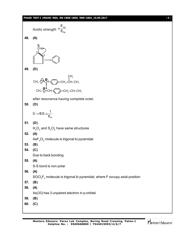#### **PHASE TEST-I (MAIN) RBA, RB-1808-1809, RBK-1804\_16.09.2017** [ **9** ]

|            | Acidic strength $\alpha \frac{\mathsf{L}_{\mathsf{wg}}}{\mathsf{E}_{\mathsf{Dg}}}$        |
|------------|-------------------------------------------------------------------------------------------|
| 48.        | (A)                                                                                       |
|            | ⇅<br>HHHHH S                                                                              |
| 49.        | (D)                                                                                       |
|            | $CH_3-\frac{C_1}{C_2}$                                                                    |
|            | after resonance having complete octet.                                                    |
| 50.        | (D)                                                                                       |
|            | $D \rightarrow B.S \alpha \frac{1}{E_N}$                                                  |
| 51.        | (D)                                                                                       |
|            | $H_2O_2$ and $S_2Cl_2$ have same structures                                               |
| 52.        | (A)                                                                                       |
| 53.        | $\text{AsF}_{3} \text{Cl}_{2}$ molecule is trigonal bi pyramidal<br>(B)                   |
| 54.        | (C)                                                                                       |
|            | Due to back bonding                                                                       |
| 55.        | (A)                                                                                       |
|            | S-S bond is non polar                                                                     |
| 56.        | (A)                                                                                       |
|            | $\text{SOC}_2\text{F}_2$ molecule is trigonal bi pyramidal, where F occupy axial position |
| 57.<br>58. | (B)<br>(A)                                                                                |
|            | As(33) has 3 unpaired electron in p-orbital                                               |
| 59.        | (B)                                                                                       |
| 60.        | (C)                                                                                       |
|            |                                                                                           |

Mentors<sup>e</sup> Eduserv<sup>-</sup>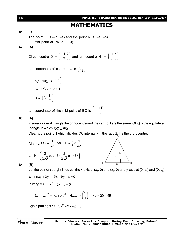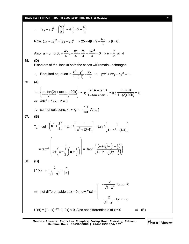**PHASE TEST-I (MAIN) RBA, RB-1808-1809, RBK-1804\_16.09.2017** [ **11** ]

∴ 
$$
(y_2 - y_1)^2 = \left(\frac{9}{3}\right)^2 - 4\frac{B}{3} = 9 - \frac{4B}{3}
$$
  
\nNow,  $(x_2 - x_1)^2 = (y_2 - y_1)^2 \Rightarrow 25 - 4\beta = 9 - \frac{4B}{3} \Rightarrow \beta = 6$ .  
\nAlso,  $A = 0 \Rightarrow 3\beta + \frac{45}{4}\alpha - \frac{81}{4} - \frac{75}{4} - \frac{8\alpha^2}{4} = 0 \Rightarrow \alpha = \frac{7}{2}$  or 4  
\n65. **(D)**  
\nBisectors of the lines in both the cases will remain unchanged  
\n∴ Required equation is  $\frac{x^2 - y^2}{1 - (-1)} = \frac{xy}{-p} \Rightarrow px^2 + 2xy - py^2 = 0$ .  
\n66. **(A)**  
\n $\tan \left\{\frac{arctan(2) + arctan(20k)}{x}\right\} = k; \frac{\tan A + \tan B}{1 - \tan A \tan B} = k; \frac{2 + 20k}{1 - (2)(20k)} = k$   
\nor  $40k^2 + 19k + 2 = 0$   
\n∴ sum of solutions,  $k_1 + k_2 = -\frac{19}{40}$  Ans. ]  
\n67. **(B)**  
\n $T_n = \cot^{-1}\left(n^2 + \frac{3}{4}\right) = \tan^{-1}\left(\frac{1}{n^2 + (3/4)}\right) = \tan^{-1}\left(\frac{1}{1 + n^2 - (1/4)}\right)$   
\n $= \tan^{-1}\left(\frac{1}{1 + \left(n - \frac{1}{2}\right)\left(n + \frac{1}{2}\right)}\right) = \tan^{-1}\left(\frac{\left(n + \frac{1}{2}\right) - \left(n - \frac{1}{2}\right)}{\left(1 + \left(n + \frac{1}{2}\right)\left(n - \frac{1}{2}\right)}\right)$   
\n68. **(B)**  
\n $f'(x) = -\frac{2}{\sqrt{1 - x^2}} \cdot \frac{x}{|x|}$   
\n $\Rightarrow$  not differentiable at  $x = 0$ , now  $f'(x) = \begin{bmatrix} -\frac{2}{\sqrt{1 - x^2}} \text{ for } x > 0 \\ \frac{2}{\sqrt{1 - x^2}} \text{$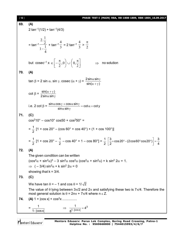[ **12** ] **PHASE TEST-I (MAIN) RBA, RB-1808-1809, RBK-1804\_16.09.2017 69. (A)**  $2 \tan^{-1}(1/2) + \tan^{-1}(4/3)$  $=$  tan $^{-1}$ 4  $1-\frac{1}{4}$ 2  $2.\frac{1}{2}$ <sup>-</sup>  $+$  tan<sup>-1</sup> 3 4  $= 2 \tan^{-1}$ 3 4  $>$  $\frac{1}{2}$  $\pi$ but cosec<sup>-1</sup>  $\mathsf{x} \in \left[-\frac{\pi}{2},0\right] \cup \left[0,\frac{\pi}{2}\right]$  $\left(0,\frac{\pi}{2}\right)$  $\setminus$  $\bigcup \bigcup \left(0, \frac{\pi}{2}\right)$  $\bigg)$  $\setminus$ L  $\in \left[-\frac{\pi}{2}\right]$ 2  $,0\mid$   $\cup$   $\mid$   $0,$ 2  $\Rightarrow$  no solution **70. (A)** tan  $\beta$  = 2 sin  $\alpha$ . sin  $\gamma$ . cosec  $(\alpha + \gamma) = \frac{2 \sin \alpha \sin \gamma}{\sin(\alpha + \gamma)}$  $\alpha$  sin  $\gamma$  $\alpha + \gamma$ )  $\cot \beta = \frac{\sin(\alpha + \gamma)}{2}$ 2 sin $\alpha$  sin  $\alpha + \gamma$ )  $\alpha$  sin  $\gamma$ i.e. 2 cot  $\beta = \frac{\sin \alpha \cos \gamma + \cos \alpha \sin \gamma}{\sin \alpha \cos \alpha \sin \gamma} = \cot \alpha + \cot y$ sin $\alpha$  sin  $\frac{\alpha \cos \gamma + \cos \alpha \sin \gamma}{\alpha + \cos \alpha + \alpha} = \cot \alpha + \alpha$  $\alpha$  sin  $\gamma$ **71. (C)**  $\cos^2 10^\circ - \cos 10^\circ \cos 50 + \cos^2 50^\circ =$  $=\frac{1}{2}$ 2  $[1 + \cos 20^\circ - (\cos 60^\circ + \cos 40^\circ) + (1 + \cos 100^\circ)]$  $=\frac{1}{2}$ 2  $[1 + \cos 20^\circ - \frac{1}{2}]$ 2  $-$  cos 40° + 1 – cos 80°] =  $\frac{1}{2}$ 2  $\frac{3}{5}$ +cos20° – (2cos60° cos20°)  $\Big| = \frac{3}{5}$  $\left[\frac{3}{2}$ +cos 20° – (2cos 60° cos 20°)  $\right]$  =  $\frac{3}{4}$ **72. (A)** The given condition can be written  $(\cos^2\alpha + \sin^2\alpha)^3 - 3 \sin^2\alpha \cos^2\alpha (\cos^2\alpha + \sin^2\alpha) + k \sin^2 2\alpha = 1.$  $\Rightarrow$  ( – 3/4) sin<sup>2</sup> $\alpha$  + k sin<sup>2</sup> 2 $\alpha$  = 0 showing that  $k = 3/4$ . **73. (C)** We have tan  $\theta = -1$  and cos  $\theta = 1/\sqrt{2}$ The value of  $\theta$  lying between  $3\pi/2$  and  $2\pi$  and satisfying these two is  $7\pi/4$ . Therefore the most general solution is  $\theta = 2n\pi + 7\pi/4$  where n  $\epsilon$  Z. **74. (A)**  $1 + |\cos x| + \cos^2 x$  ............... = 1  $1 - \cos x$  $\Rightarrow \frac{1}{e^{1-\left|\cos x\right|}}=4^3$  $\frac{1}{\sqrt{250}} = 4$  $\frac{1}{8^{1-|\cos x|}} =$ 

Mentors<sup>®</sup> Eduserv<sup>®</sup>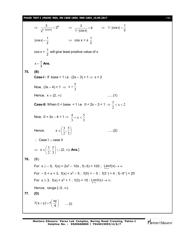#### **PHASE TEST-I (MAIN) RBA, RB-1808-1809, RBK-1804\_16.09.2017** [ **13** ]

 $\Rightarrow \frac{3}{2^{1-\left|\cos x\right|}} = 2^6$  $\frac{3}{\sqrt{2}}$  = 2  $\frac{3}{2^{1-\left|\cos x\right|}} = 2^6$   $\Rightarrow \frac{3}{1-\left|\cos x\right|} = 6$  $1 - |\cos x|$  $=$ - $\Rightarrow$  1- $|\cos x| = \frac{1}{2}$ 2  $-|cos x| = |\cos x| = \frac{1}{2}$  $=\frac{1}{2}$   $\Rightarrow$   $\cos x = \pm \frac{1}{2}$ 2  $cos x = \frac{1}{2}$ 2 will give least positive value of x x 3  $=\frac{\pi}{2}$  **Ans. 75. (B) Case-I**: If base > 1 i.e.  $(2x - 3) > 1 \Rightarrow x > 2$ Now,  $(3x-4) > 1 \Rightarrow x > \frac{1}{3}$  $x > \frac{5}{3}$ Hence,  $x \in (2, \infty)$  .......(1) **Case-II:** When 0 < base  $\leq 1$  i.e. 0  $\leq 2x - 3 \leq 1 \Rightarrow \frac{3}{2} \leq x \leq 2$ 2  $\frac{3}{2}$  < x < Now,  $0 < 3x - 4 < 1 \Rightarrow$ 3  $x < \frac{5}{3}$ 3  $\frac{4}{3}$  < x < Hence,  $x \in \left[\frac{5}{2}, \frac{5}{2}\right]$ J  $\left(\frac{3}{2},\frac{5}{2}\right)$  $\setminus$ ſ 3  $\frac{5}{2}$ 2 3 ......(2)  $\therefore$  Case I  $\cup$  case II  $\Rightarrow$   $X \in \left[\frac{5}{2}, \frac{5}{2}\right]$  $\bigg)$  $\left(\frac{3}{2},\frac{5}{2}\right)$  $\setminus$ ſ 3  $\frac{5}{2}$ 2  $\left(\frac{3}{2},\frac{5}{2}\right)\cup (2,\infty)$ . Ans.] **76.** (B) For  $x \le -5$ ,  $f(x) = 2x^2 - 10x$ ,  $f(-5) = 100$ ;  $\lim_{x \to \infty} f(x) \to \infty$ For  $-5 < x < 3$ ,  $f(x) = x^2 - 5$ ;  $f(0) = -5$ ;  $f(3^-) = 4$ ;  $f(-5^+) = 20$ For  $x \ge 3$ ,  $f(x) = x^2 + 1$ ;  $f(3) = 10$ ;  $\lim_{x \to \infty} f(x) \to \infty$ . Hence, range  $[-5, \infty)$ . **77. (D)**  $f(x + y) = f\left(\frac{xy}{4}\right)$ 4  $(y) = f\left(\frac{xy}{4}\right)$  ....(i)

Mentors Eduserv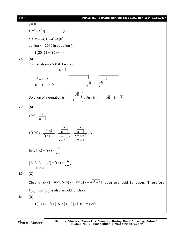$y = 0$  $f(x) = f(0)$  .... (ii) put  $x = -4$ ,  $f(-4) = f(0)$ putting  $x = 2016$  in equation (ii)  $f(2016) = f(0) = -4$ **78. (A)** from analysis  $x > 0$  &  $1 - x > 0$  $x < 1$  $x^2 + x > 1$  $x^2 + x - 1 > 0$ 1 <u>–1+J5</u> 2 <u>–1–15</u> 2 Solution of inequation is  $\left(\frac{-1+\sqrt{5}}{2},1\right)$ 2  $\begin{pmatrix} -1 + \sqrt{5} \\ 4 \end{pmatrix}$  $\left(\frac{1}{2}, 1\right)$ , 2a + b = -1 +  $\sqrt{5}$  + 1 =  $\sqrt{5}$ . **79. (A)** (x)  $f(x) = \frac{x}{x}$ x – 1  $=$  $(f(x))$ (x)  $(\mathsf{x})$ x x  $f(f(x)) = {f(x) \over f(x)} = {x-1 \over x-1} = {x-1 \over x-1} = x$  $f(x)-1 = \frac{x}{x} - 1 = \frac{x-x+1}{1}$  $x - 1$   $x - 1$  $=\frac{x-1}{f(x)-1}=\frac{x-1}{x}=\frac{x-1}{x-x+1}=x$  $(x) = f(x)$ fo fo f  $(x) = f(x) = \frac{x}{x}$ x – 1  $= f(x) = -$ (fo fo fo.....of ) = f ( **x** ) 21 times fo fo fo.....of  $f = f(x) = \frac{x}{x}$  $(f \circ f \circ f \circ ....) = f(x) = \frac{x}{x-1}$ **80. (C)** Clearly  $g(x)$ =sinx,&h $(x)$ =log $_{10}(x+\sqrt{x^2+1})$  both ore odd function. Therefore  $f(x) = g \circ h(x)$  is also an odd function. **81. (D)**  $f(-x) = -f(x)$  &  $f(x+2) = f(x)$   $\forall x \in R$ 

Mentors<sup>®</sup> Eduserv<sup>®</sup>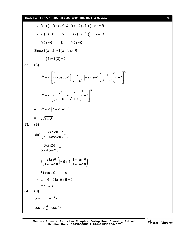$\Rightarrow$  f(-x)+f(x)=0 & f(x+2)=f(x)  $\forall$  x  $\in$  R  $\Rightarrow$  2f(0)=0 & f(2)=(f(0))  $\forall x \in R$  $f(0) = 0$  &  $f(2) = 0$ Since  $f(x+2) = f(x) \quad \forall x \in R$  $f(4) = f(2) = 0$ **82. (C)** 2  $7^{1/2}$ 2 – –1  $\sqrt{1+x^2}$  x coscos  $\left(\frac{x}{\sqrt{1+x^2}}\right)$  + sinsin<sup>-1</sup>  $\left(\frac{1}{\sqrt{1+x^2}}\right)$  - 1  $1 + x^2$   $\sqrt{1 + x^2}$  $\left| \begin{matrix} 0 & x \\ x \cos(\cos(\theta)) & 1 \end{matrix} \right|^{2}$  $+ x^{2} \left[ \left\{ x \cos \cos^{-} \left( \frac{1}{\sqrt{1 + x^{2}}} \right) + \sin \sin^{-1} \left( \frac{1}{\sqrt{1 + x^{2}}} \right) \right\} - 1 \right]$ =  $\sqrt{2}$   $\left[\begin{array}{ccc} x^2 & 1 \end{array}\right]^2$  $\sqrt{1+x^2}$   $\left\{\frac{x^2}{\sqrt{1+x^2}}+\frac{1}{\sqrt{1+x^2}}\right\}$  - 1  $1 + x^2$   $\sqrt{1 + x^2}$  $\left[\begin{array}{ccc} x^2 & 1 \end{array}\right]^2$  $+ x^{2} \left[ \left\{ \frac{1}{\sqrt{1 + x^{2}}} + \frac{1}{\sqrt{1 + x^{2}}} \right\} - 1 \right]$  $= \sqrt{1+x^2}\left[1+x^2-1\right]^{1/2}$  $= x\sqrt{1+x^2}$ **83. (B)**  $\sin^{-1} \left( \frac{3 \sin 2}{5 \cos 2\theta} \right)$  $\left(\frac{3\sin 2\theta}{5+4\cos 2\theta}\right)=\frac{\pi}{2}$  $(5+4\cos2\theta)$  $\frac{3 \sin 2\theta}{1}$  = 1  $5 + 4 \cos 2$  $\frac{\theta}{\sigma}$  =  $+4\cos2\theta$ 2  $3\left(\frac{2\tan\theta}{1+\tan^2\theta}\right) = 5 + 4\left(\frac{1-\tan^2\theta}{1+\tan^2\theta}\right)$  $\left(\frac{2\tan\theta}{1+\tan^2\theta}\right) = 5 + 4\left(\frac{1-\tan^2\theta}{1+\tan^2\theta}\right)$  $6\tan\theta = 9 + \tan^2\theta$  $\implies$  tan<sup>2</sup>  $\theta$  – 6 tan  $\theta$  + 9 = 0  $\tan \theta = 3$ **84. (D)**  $cos^{-1} x > sin^{-1} x$  $\cos^{-1} > \frac{\pi}{2} - \cos^{-1} x$ 2  $-1 > \frac{\pi}{2} - \cos^{-1}$ 

Mentors Eduserv